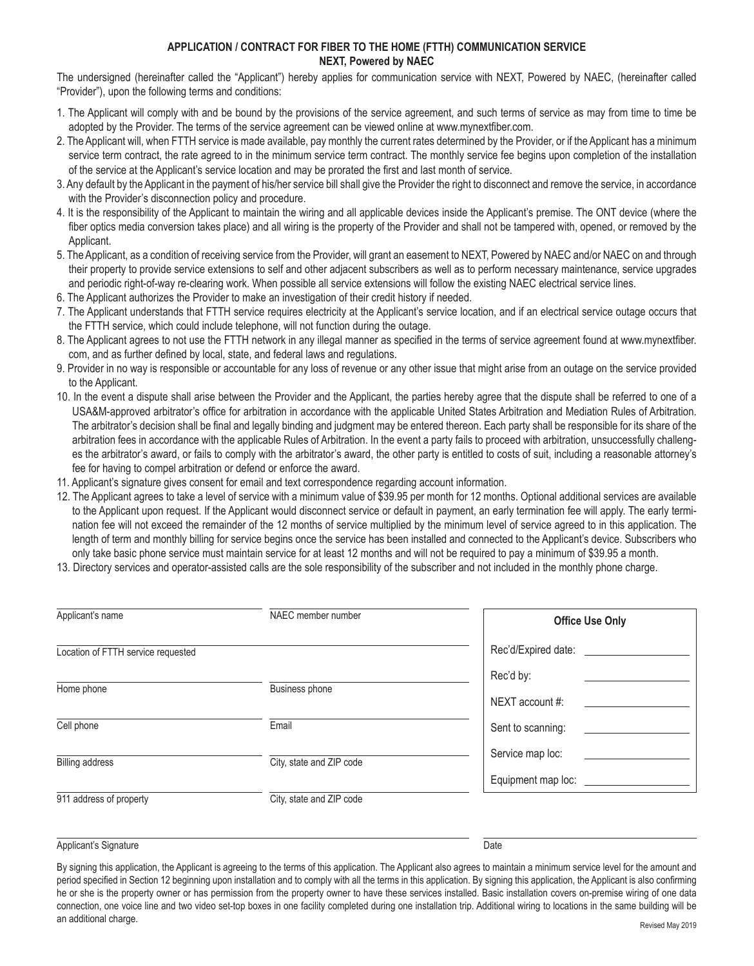## **APPLICATION / CONTRACT FOR FIBER TO THE HOME (FTTH) COMMUNICATION SERVICE NEXT, Powered by NAEC**

The undersigned (hereinafter called the "Applicant") hereby applies for communication service with NEXT, Powered by NAEC, (hereinafter called "Provider"), upon the following terms and conditions:

- 1. The Applicant will comply with and be bound by the provisions of the service agreement, and such terms of service as may from time to time be adopted by the Provider. The terms of the service agreement can be viewed online at www.mynextfiber.com.
- 2. The Applicant will, when FTTH service is made available, pay monthly the current rates determined by the Provider, or if the Applicant has a minimum service term contract, the rate agreed to in the minimum service term contract. The monthly service fee begins upon completion of the installation of the service at the Applicant's service location and may be prorated the first and last month of service.
- 3. Any default by the Applicant in the payment of his/her service bill shall give the Provider the right to disconnect and remove the service, in accordance with the Provider's disconnection policy and procedure.
- 4. It is the responsibility of the Applicant to maintain the wiring and all applicable devices inside the Applicant's premise. The ONT device (where the fiber optics media conversion takes place) and all wiring is the property of the Provider and shall not be tampered with, opened, or removed by the Applicant.
- 5. The Applicant, as a condition of receiving service from the Provider, will grant an easement to NEXT, Powered by NAEC and/or NAEC on and through their property to provide service extensions to self and other adjacent subscribers as well as to perform necessary maintenance, service upgrades and periodic right-of-way re-clearing work. When possible all service extensions will follow the existing NAEC electrical service lines.
- 6. The Applicant authorizes the Provider to make an investigation of their credit history if needed.
- 7. The Applicant understands that FTTH service requires electricity at the Applicant's service location, and if an electrical service outage occurs that the FTTH service, which could include telephone, will not function during the outage.
- 8. The Applicant agrees to not use the FTTH network in any illegal manner as specified in the terms of service agreement found at www.mynextfiber. com, and as further defined by local, state, and federal laws and regulations.
- 9. Provider in no way is responsible or accountable for any loss of revenue or any other issue that might arise from an outage on the service provided to the Applicant.
- 10. In the event a dispute shall arise between the Provider and the Applicant, the parties hereby agree that the dispute shall be referred to one of a USA&M-approved arbitrator's office for arbitration in accordance with the applicable United States Arbitration and Mediation Rules of Arbitration. The arbitrator's decision shall be final and legally binding and judgment may be entered thereon. Each party shall be responsible for its share of the arbitration fees in accordance with the applicable Rules of Arbitration. In the event a party fails to proceed with arbitration, unsuccessfully challenges the arbitrator's award, or fails to comply with the arbitrator's award, the other party is entitled to costs of suit, including a reasonable attorney's fee for having to compel arbitration or defend or enforce the award.
- 11. Applicant's signature gives consent for email and text correspondence regarding account information.
- 12. The Applicant agrees to take a level of service with a minimum value of \$39.95 per month for 12 months. Optional additional services are available to the Applicant upon request. If the Applicant would disconnect service or default in payment, an early termination fee will apply. The early termination fee will not exceed the remainder of the 12 months of service multiplied by the minimum level of service agreed to in this application. The length of term and monthly billing for service begins once the service has been installed and connected to the Applicant's device. Subscribers who only take basic phone service must maintain service for at least 12 months and will not be required to pay a minimum of \$39.95 a month.
- 13. Directory services and operator-assisted calls are the sole responsibility of the subscriber and not included in the monthly phone charge.

| Applicant's name                   | NAEC member number       | <b>Office Use Only</b> |
|------------------------------------|--------------------------|------------------------|
| Location of FTTH service requested |                          | Rec'd/Expired date:    |
|                                    |                          | Rec'd by:              |
| Home phone                         | Business phone           | NEXT account #:        |
| Cell phone                         | Email                    | Sent to scanning:      |
| <b>Billing address</b>             | City, state and ZIP code | Service map loc:       |
|                                    |                          | Equipment map loc:     |
| 911 address of property            | City, state and ZIP code |                        |

## Applicant's Signature Date of the Date of the Date of the Date of the Date of the Date of the Date of the Date of the Date of the Date of the Date of the Date of the Date of the Date of the Date of the Date of the Date of

By signing this application, the Applicant is agreeing to the terms of this application. The Applicant also agrees to maintain a minimum service level for the amount and period specified in Section 12 beginning upon installation and to comply with all the terms in this application. By signing this application, the Applicant is also confirming he or she is the property owner or has permission from the property owner to have these services installed. Basic installation covers on-premise wiring of one data connection, one voice line and two video set-top boxes in one facility completed during one installation trip. Additional wiring to locations in the same building will be an additional charge. Revised May 2019